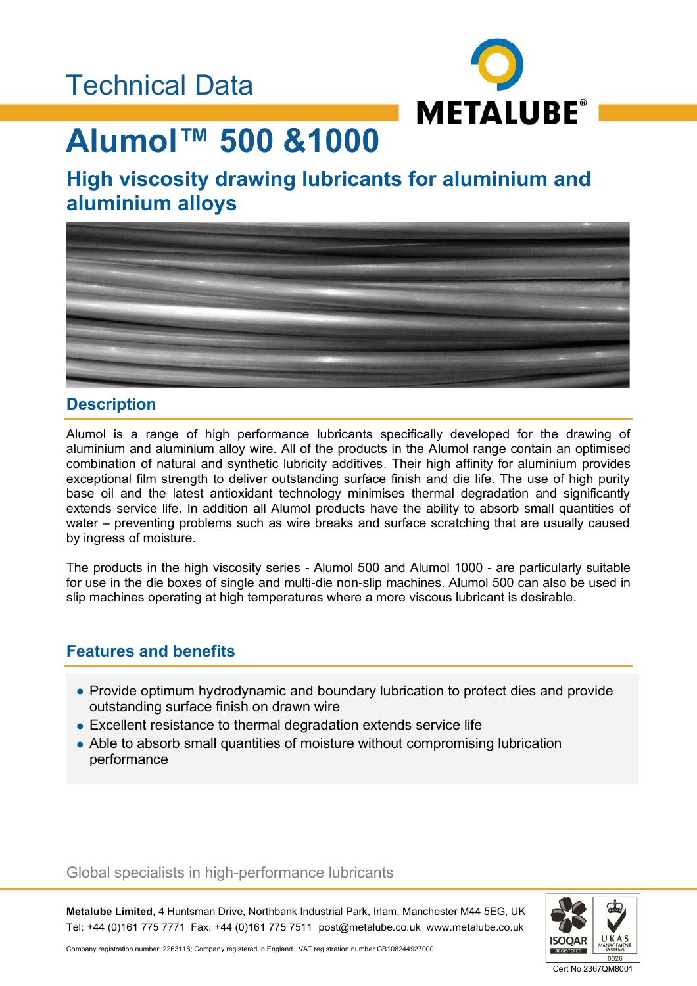### Technical Data



# **Alumol™ 500 &1000**

### **High viscosity drawing lubricants for aluminium and aluminium alloys**



### **Description**

Alumol is a range of high performance lubricants specifically developed for the drawing of aluminium and aluminium alloy wire. All of the products in the Alumol range contain an optimised combination of natural and synthetic lubricity additives. Their high affinity for aluminium provides exceptional film strength to deliver outstanding surface finish and die life. The use of high purity base oil and the latest antioxidant technology minimises thermal degradation and significantly extends service life. In addition all Alumol products have the ability to absorb small quantities of water – preventing problems such as wire breaks and surface scratching that are usually caused by ingress of moisture.

The products in the high viscosity series - Alumol 500 and Alumol 1000 - are particularly suitable for use in the die boxes of single and multi-die non-slip machines. Alumol 500 can also be used in slip machines operating at high temperatures where a more viscous lubricant is desirable.

### **Features and benefits**

- Provide optimum hydrodynamic and boundary lubrication to protect dies and provide outstanding surface finish on drawn wire
- Excellent resistance to thermal degradation extends service life
- Able to absorb small quantities of moisture without compromising lubrication performance

#### Global specialists in high-performance lubricants

**Metalube Limited**, 4 Huntsman Drive, Northbank Industrial Park, Irlam, Manchester M44 5EG, UK Tel: +44 (0)161 775 7771 Fax: +44 (0)161 775 7511 post@metalube.co.uk www.metalube.co.uk



Company registration number: 2263118; Company registered in England VAT registration number GB108244927000